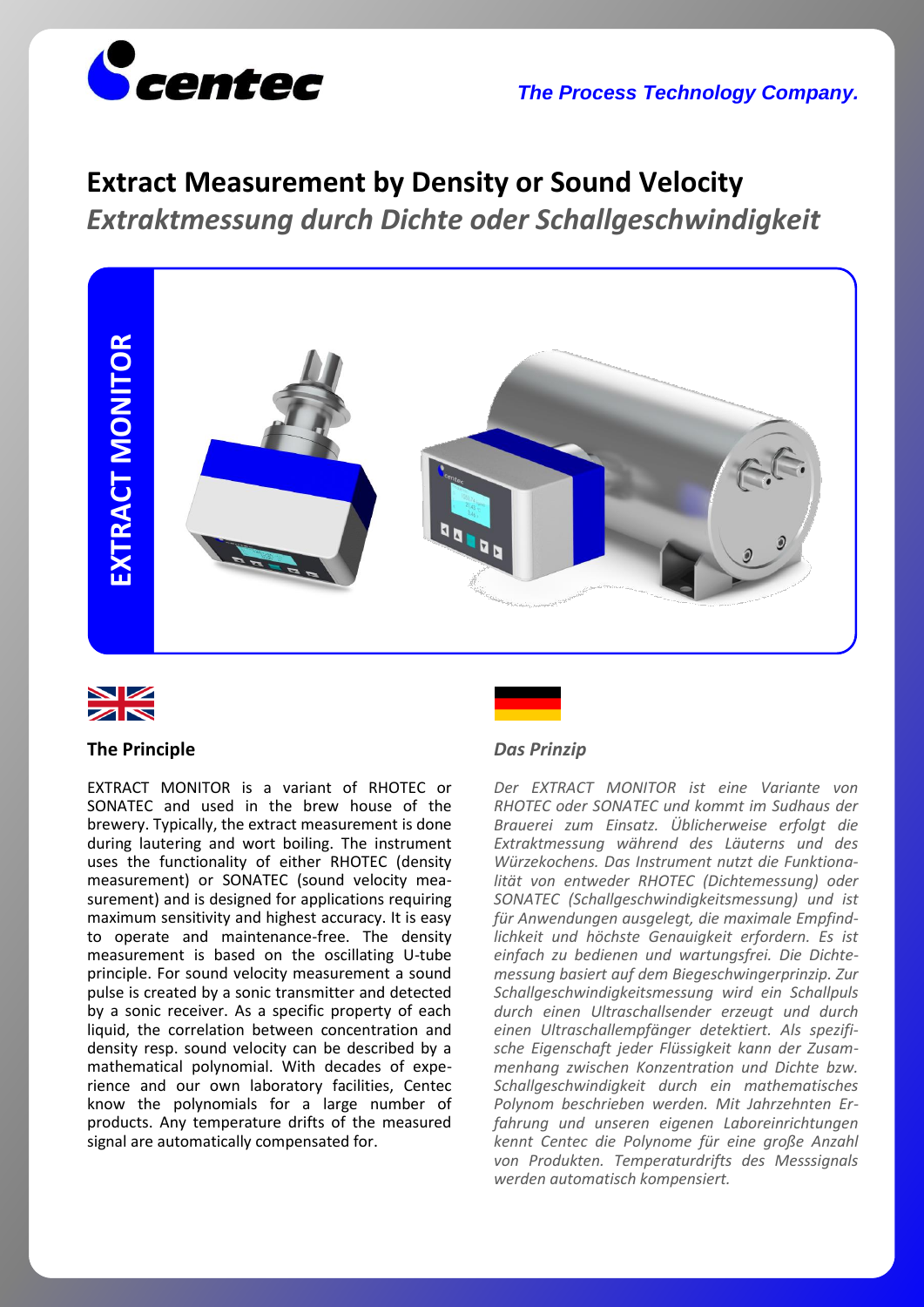

*The Process Technology Company.*

# **Extract Measurement by Density or Sound Velocity**

*Extraktmessung durch Dichte oder Schallgeschwindigkeit*





# **The Principle**

EXTRACT MONITOR is a variant of RHOTEC or SONATEC and used in the brew house of the brewery. Typically, the extract measurement is done during lautering and wort boiling. The instrument uses the functionality of either RHOTEC (density measurement) or SONATEC (sound velocity measurement) and is designed for applications requiring maximum sensitivity and highest accuracy. It is easy to operate and maintenance-free. The density measurement is based on the oscillating U-tube principle. For sound velocity measurement a sound pulse is created by a sonic transmitter and detected by a sonic receiver. As a specific property of each liquid, the correlation between concentration and density resp. sound velocity can be described by a mathematical polynomial. With decades of experience and our own laboratory facilities, Centec know the polynomials for a large number of products. Any temperature drifts of the measured signal are automatically compensated for.

## *Das Prinzip*

*Der EXTRACT MONITOR ist eine Variante von RHOTEC oder SONATEC und kommt im Sudhaus der Brauerei zum Einsatz. Üblicherweise erfolgt die Extraktmessung während des Läuterns und des Würzekochens. Das Instrument nutzt die Funktionalität von entweder RHOTEC (Dichtemessung) oder SONATEC (Schallgeschwindigkeitsmessung) und ist für Anwendungen ausgelegt, die maximale Empfindlichkeit und höchste Genauigkeit erfordern. Es ist einfach zu bedienen und wartungsfrei. Die Dichtemessung basiert auf dem Biegeschwingerprinzip. Zur Schallgeschwindigkeitsmessung wird ein Schallpuls durch einen Ultraschallsender erzeugt und durch einen Ultraschallempfänger detektiert. Als spezifische Eigenschaft jeder Flüssigkeit kann der Zusammenhang zwischen Konzentration und Dichte bzw. Schallgeschwindigkeit durch ein mathematisches Polynom beschrieben werden. Mit Jahrzehnten Erfahrung und unseren eigenen Laboreinrichtungen kennt Centec die Polynome für eine große Anzahl von Produkten. Temperaturdrifts des Messsignals werden automatisch kompensiert.*